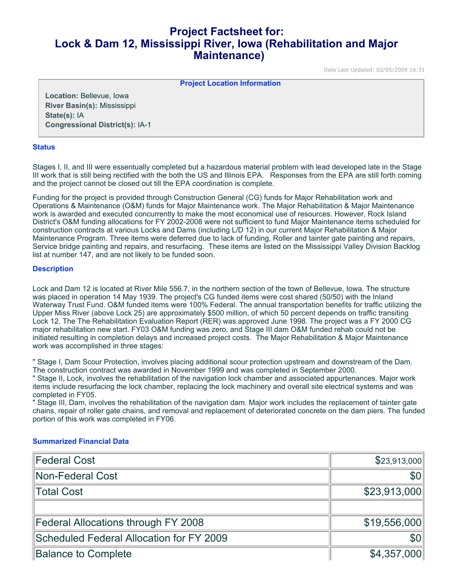# **Project Factsheet for: Lock & Dam 12, Mississippi River, Iowa (Rehabilitation and Major Maintenance)**

Date Last Updated: 02/05/2009 16:31

**Project Location Information** 

**Location:** Bellevue, Iowa **River Basin(s):** Mississippi **State(s):** IA **Congressional District(s):** IA-1

### **Status**

Stages I, II, and III were essentually completed but a hazardous material problem with lead developed late in the Stage III work that is still being rectified with the both the US and Illinois EPA. Responses from the EPA are still forth coming and the project cannot be closed out till the EPA coordination is complete.

Funding for the project is provided through Construction General (CG) funds for Major Rehabilitation work and Operations & Maintenance (O&M) funds for Major Maintenance work. The Major Rehabilitation & Major Maintenance work is awarded and executed concurrently to make the most economical use of resources. However, Rock Island District's O&M funding allocations for FY 2002-2008 were not sufficient to fund Major Maintenance items scheduled for construction contracts at various Locks and Dams (including L/D 12) in our current Major Rehabilitation & Major Maintenance Program. Three items were deferred due to lack of funding, Roller and tainter gate painting and repairs, Service bridge painting and repairs, and resurfacing. These items are listed on the Mississippi Valley Division Backlog list at number 147, and are not likely to be funded soon.

### **Description**

Lock and Dam 12 is located at River Mile 556.7, in the northern section of the town of Bellevue, Iowa. The structure was placed in operation 14 May 1939. The project's CG funded items were cost shared (50/50) with the Inland Waterway Trust Fund. O&M funded items were 100% Federal. The annual transportation benefits for traffic utilizing the Upper Miss River (above Lock 25) are approximately \$500 million, of which 50 percent depends on traffic transiting Lock 12. The The Rehabilitation Evaluation Report (RER) was approved June 1998. The project was a FY 2000 CG major rehabilitation new start. FY03 O&M funding was zero, and Stage III dam O&M funded rehab could not be initiated resulting in completion delays and increased project costs. The Major Rehabilitation & Major Maintenance work was accomplished in three stages:

" Stage I, Dam Scour Protection, involves placing additional scour protection upstream and downstream of the Dam. The construction contract was awarded in November 1999 and was completed in September 2000.

" Stage II, Lock, involves the rehabilitation of the navigation lock chamber and associated appurtenances. Major work items include resurfacing the lock chamber, replacing the lock machinery and overall site electrical systems and was completed in FY05.

" Stage III, Dam, involves the rehabilitation of the navigation dam. Major work includes the replacement of tainter gate chains, repair of roller gate chains, and removal and replacement of deteriorated concrete on the dam piers. The funded portion of this work was completed in FY06.

### **Summarized Financial Data**

| Federal Cost                               | \$23,913,000 |
|--------------------------------------------|--------------|
| Non-Federal Cost                           | <b>SOI</b>   |
| Total Cost                                 | \$23,913,000 |
|                                            |              |
| <b>Federal Allocations through FY 2008</b> | \$19,556,000 |
| Scheduled Federal Allocation for FY 2009   | <b>SOI</b>   |
| <b>Balance to Complete</b>                 | \$4,357,000  |